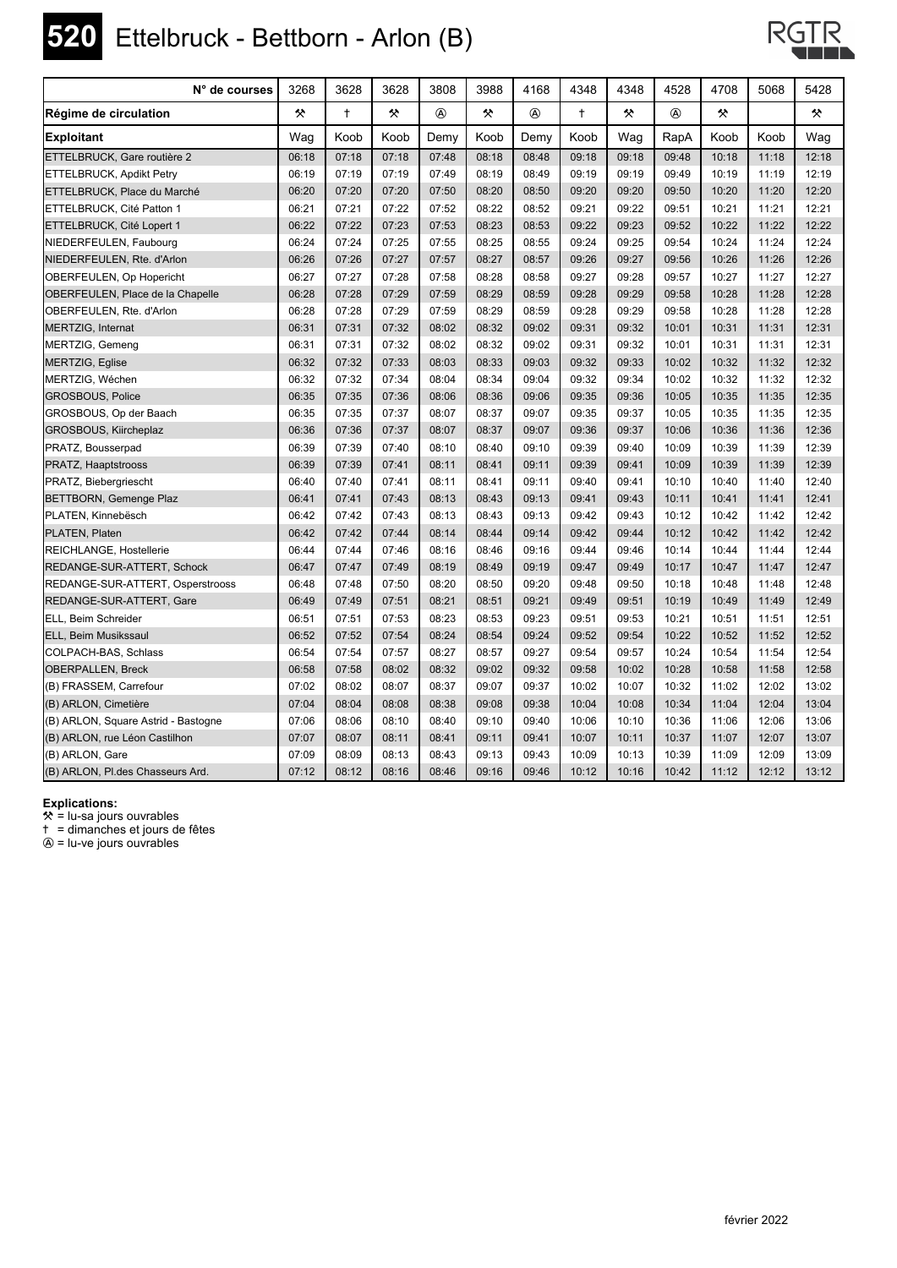

# **520** Ettelbruck - Bettborn - Arlon (B)



| N° de courses                           | 3268  | 3628       | 3628  | 3808        | 3988  | 4168  | 4348       | 4348  | 4528           | 4708  | 5068  | 5428  |
|-----------------------------------------|-------|------------|-------|-------------|-------|-------|------------|-------|----------------|-------|-------|-------|
| Régime de circulation                   | 父     | $\ddagger$ | 父     | $\circledA$ | 父     |       | $\ddagger$ | 父     | $^{\circledR}$ | 父     |       | 父     |
| <b>Exploitant</b>                       | Waq   | Koob       | Koob  | Demy        | Koob  | Demy  | Koob       | Waq   | RapA           | Koob  | Koob  | Waq   |
| ETTELBRUCK, Gare routière 2             | 06:18 | 07:18      | 07:18 | 07:48       | 08:18 | 08:48 | 09:18      | 09:18 | 09:48          | 10:18 | 11:18 | 12:18 |
| ETTELBRUCK, Apdikt Petry                | 06:19 | 07:19      | 07:19 | 07:49       | 08:19 | 08:49 | 09:19      | 09:19 | 09:49          | 10:19 | 11:19 | 12:19 |
| ETTELBRUCK, Place du Marché             | 06:20 | 07:20      | 07:20 | 07:50       | 08:20 | 08:50 | 09:20      | 09:20 | 09:50          | 10:20 | 11:20 | 12:20 |
| ETTELBRUCK, Cité Patton 1               | 06:21 | 07:21      | 07:22 | 07:52       | 08:22 | 08:52 | 09:21      | 09:22 | 09:51          | 10:21 | 11:21 | 12:21 |
| ETTELBRUCK, Cité Lopert 1               | 06:22 | 07:22      | 07:23 | 07:53       | 08:23 | 08:53 | 09:22      | 09:23 | 09:52          | 10:22 | 11:22 | 12:22 |
| NIEDERFEULEN, Faubourg                  | 06:24 | 07:24      | 07:25 | 07:55       | 08:25 | 08:55 | 09:24      | 09:25 | 09:54          | 10:24 | 11:24 | 12:24 |
| NIEDERFEULEN, Rte. d'Arlon              | 06:26 | 07:26      | 07:27 | 07:57       | 08:27 | 08:57 | 09:26      | 09:27 | 09:56          | 10:26 | 11:26 | 12:26 |
| OBERFEULEN, Op Hopericht                | 06:27 | 07:27      | 07:28 | 07:58       | 08:28 | 08:58 | 09:27      | 09:28 | 09:57          | 10:27 | 11:27 | 12:27 |
| <b>OBERFEULEN, Place de la Chapelle</b> | 06:28 | 07:28      | 07:29 | 07:59       | 08:29 | 08:59 | 09:28      | 09:29 | 09:58          | 10:28 | 11:28 | 12:28 |
| OBERFEULEN, Rte. d'Arlon                | 06:28 | 07:28      | 07:29 | 07:59       | 08:29 | 08:59 | 09:28      | 09:29 | 09:58          | 10:28 | 11:28 | 12:28 |
| MERTZIG, Internat                       | 06:31 | 07:31      | 07:32 | 08:02       | 08:32 | 09:02 | 09:31      | 09:32 | 10:01          | 10:31 | 11:31 | 12:31 |
| MERTZIG, Gemeng                         | 06:31 | 07:31      | 07:32 | 08:02       | 08:32 | 09:02 | 09:31      | 09:32 | 10:01          | 10:31 | 11:31 | 12:31 |
| <b>MERTZIG, Eglise</b>                  | 06:32 | 07:32      | 07:33 | 08:03       | 08:33 | 09:03 | 09:32      | 09:33 | 10:02          | 10:32 | 11:32 | 12:32 |
| MERTZIG. Wéchen                         | 06:32 | 07:32      | 07:34 | 08:04       | 08:34 | 09:04 | 09:32      | 09:34 | 10:02          | 10:32 | 11:32 | 12:32 |
| <b>GROSBOUS, Police</b>                 | 06:35 | 07:35      | 07:36 | 08:06       | 08:36 | 09:06 | 09:35      | 09:36 | 10:05          | 10:35 | 11:35 | 12:35 |
| GROSBOUS, Op der Baach                  | 06:35 | 07:35      | 07:37 | 08:07       | 08:37 | 09:07 | 09:35      | 09:37 | 10:05          | 10:35 | 11:35 | 12:35 |
| GROSBOUS, Kiircheplaz                   | 06:36 | 07:36      | 07:37 | 08:07       | 08:37 | 09:07 | 09:36      | 09:37 | 10:06          | 10:36 | 11:36 | 12:36 |
| PRATZ, Bousserpad                       | 06:39 | 07:39      | 07:40 | 08:10       | 08:40 | 09:10 | 09:39      | 09:40 | 10:09          | 10:39 | 11:39 | 12:39 |
| PRATZ, Haaptstrooss                     | 06:39 | 07:39      | 07:41 | 08:11       | 08:41 | 09:11 | 09:39      | 09:41 | 10:09          | 10:39 | 11:39 | 12:39 |
| PRATZ, Biebergriescht                   | 06:40 | 07:40      | 07:41 | 08:11       | 08:41 | 09:11 | 09:40      | 09:41 | 10:10          | 10:40 | 11:40 | 12:40 |
| BETTBORN, Gemenge Plaz                  | 06:41 | 07:41      | 07:43 | 08:13       | 08:43 | 09:13 | 09:41      | 09:43 | 10:11          | 10:41 | 11:41 | 12:41 |
| PLATEN, Kinnebësch                      | 06:42 | 07:42      | 07:43 | 08:13       | 08:43 | 09:13 | 09:42      | 09:43 | 10:12          | 10:42 | 11:42 | 12:42 |
| PLATEN, Platen                          | 06:42 | 07:42      | 07:44 | 08:14       | 08:44 | 09:14 | 09:42      | 09:44 | 10:12          | 10:42 | 11:42 | 12:42 |
| REICHLANGE, Hostellerie                 | 06:44 | 07:44      | 07:46 | 08:16       | 08:46 | 09:16 | 09:44      | 09:46 | 10:14          | 10:44 | 11:44 | 12:44 |
| REDANGE-SUR-ATTERT, Schock              | 06:47 | 07:47      | 07:49 | 08:19       | 08:49 | 09:19 | 09:47      | 09:49 | 10:17          | 10:47 | 11:47 | 12:47 |
| REDANGE-SUR-ATTERT, Osperstrooss        | 06:48 | 07:48      | 07:50 | 08:20       | 08:50 | 09:20 | 09:48      | 09:50 | 10:18          | 10:48 | 11:48 | 12:48 |
| REDANGE-SUR-ATTERT, Gare                | 06:49 | 07:49      | 07:51 | 08:21       | 08:51 | 09:21 | 09:49      | 09:51 | 10:19          | 10:49 | 11:49 | 12:49 |
| ELL, Beim Schreider                     | 06:51 | 07:51      | 07:53 | 08:23       | 08:53 | 09:23 | 09:51      | 09:53 | 10:21          | 10:51 | 11:51 | 12:51 |
| ELL, Beim Musikssaul                    | 06:52 | 07:52      | 07:54 | 08:24       | 08:54 | 09:24 | 09:52      | 09:54 | 10:22          | 10:52 | 11:52 | 12:52 |
| COLPACH-BAS, Schlass                    | 06:54 | 07:54      | 07:57 | 08:27       | 08:57 | 09:27 | 09:54      | 09:57 | 10:24          | 10:54 | 11:54 | 12:54 |
| <b>OBERPALLEN, Breck</b>                | 06:58 | 07:58      | 08:02 | 08:32       | 09:02 | 09:32 | 09:58      | 10:02 | 10:28          | 10:58 | 11:58 | 12:58 |
| (B) FRASSEM, Carrefour                  | 07:02 | 08:02      | 08:07 | 08:37       | 09:07 | 09:37 | 10:02      | 10:07 | 10:32          | 11:02 | 12:02 | 13:02 |
| (B) ARLON, Cimetière                    | 07:04 | 08:04      | 08:08 | 08:38       | 09:08 | 09:38 | 10:04      | 10:08 | 10:34          | 11:04 | 12:04 | 13:04 |
| (B) ARLON, Square Astrid - Bastogne     | 07:06 | 08:06      | 08:10 | 08:40       | 09:10 | 09:40 | 10:06      | 10:10 | 10:36          | 11:06 | 12:06 | 13:06 |
| (B) ARLON, rue Léon Castilhon           | 07:07 | 08:07      | 08:11 | 08:41       | 09:11 | 09:41 | 10:07      | 10:11 | 10:37          | 11:07 | 12:07 | 13:07 |
| (B) ARLON, Gare                         | 07:09 | 08:09      | 08:13 | 08:43       | 09:13 | 09:43 | 10:09      | 10:13 | 10:39          | 11:09 | 12:09 | 13:09 |
| (B) ARLON, Pl.des Chasseurs Ard.        | 07:12 | 08:12      | 08:16 | 08:46       | 09:16 | 09:46 | 10:12      | 10:16 | 10:42          | 11:12 | 12:12 | 13:12 |

### **Explications:**

 $*$  = lu-sa jours ouvrables

) = dimanches et jours de fêtes

 $\textcircled{a}$  = lu-ve jours ouvrables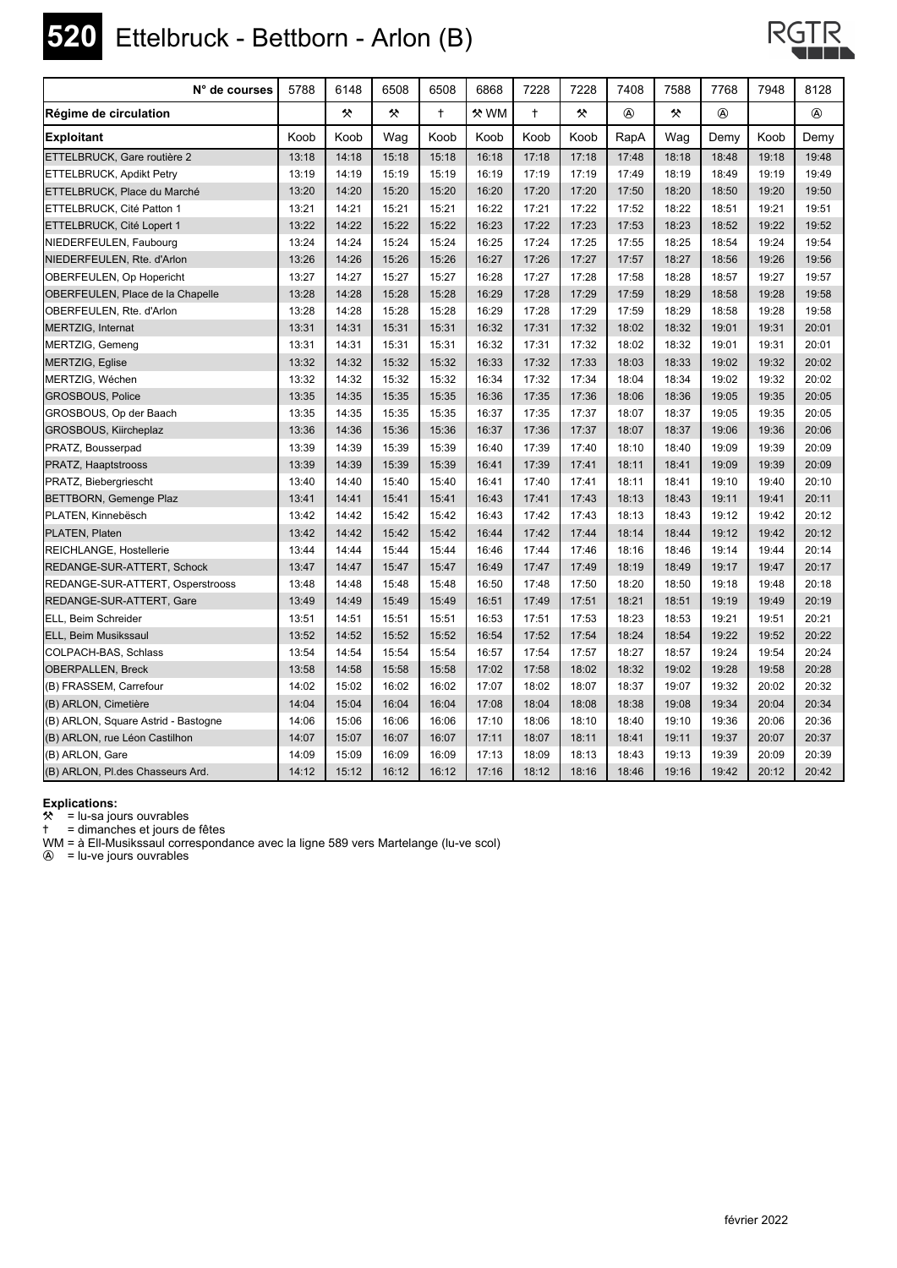### **520** Ettelbruck - Bettborn - Arlon (B)



| N° de courses                       | 5788  | 6148  | 6508  | 6508       | 6868        | 7228       | 7228  | 7408  | 7588  | 7768           | 7948  | 8128  |
|-------------------------------------|-------|-------|-------|------------|-------------|------------|-------|-------|-------|----------------|-------|-------|
| Régime de circulation               |       | 父     | 父     | $\ddagger$ | <b>«</b> WM | $\ddagger$ | ×     |       | 父     | $^{\circledR}$ |       |       |
| <b>Exploitant</b>                   | Koob  | Koob  | Wag   | Koob       | Koob        | Koob       | Koob  | RapA  | Wag   | Demy           | Koob  | Demy  |
| ETTELBRUCK. Gare routière 2         | 13:18 | 14:18 | 15:18 | 15:18      | 16:18       | 17:18      | 17:18 | 17:48 | 18:18 | 18:48          | 19:18 | 19:48 |
| ETTELBRUCK, Apdikt Petry            | 13:19 | 14:19 | 15:19 | 15:19      | 16:19       | 17:19      | 17:19 | 17:49 | 18:19 | 18:49          | 19:19 | 19:49 |
| ETTELBRUCK, Place du Marché         | 13:20 | 14:20 | 15:20 | 15:20      | 16:20       | 17:20      | 17:20 | 17:50 | 18:20 | 18:50          | 19:20 | 19:50 |
| ETTELBRUCK, Cité Patton 1           | 13:21 | 14:21 | 15:21 | 15:21      | 16:22       | 17:21      | 17:22 | 17:52 | 18:22 | 18:51          | 19:21 | 19:51 |
| ETTELBRUCK, Cité Lopert 1           | 13:22 | 14:22 | 15:22 | 15:22      | 16:23       | 17:22      | 17:23 | 17:53 | 18:23 | 18:52          | 19:22 | 19:52 |
| NIEDERFEULEN, Faubourg              | 13:24 | 14:24 | 15:24 | 15:24      | 16:25       | 17:24      | 17:25 | 17:55 | 18:25 | 18:54          | 19:24 | 19:54 |
| NIEDERFEULEN, Rte. d'Arlon          | 13:26 | 14:26 | 15:26 | 15:26      | 16:27       | 17:26      | 17:27 | 17:57 | 18:27 | 18:56          | 19:26 | 19:56 |
| OBERFEULEN, Op Hopericht            | 13:27 | 14:27 | 15:27 | 15:27      | 16:28       | 17:27      | 17:28 | 17:58 | 18:28 | 18:57          | 19:27 | 19:57 |
| OBERFEULEN, Place de la Chapelle    | 13:28 | 14:28 | 15:28 | 15:28      | 16:29       | 17:28      | 17:29 | 17:59 | 18:29 | 18:58          | 19:28 | 19:58 |
| OBERFEULEN, Rte. d'Arlon            | 13:28 | 14:28 | 15:28 | 15:28      | 16:29       | 17:28      | 17:29 | 17:59 | 18:29 | 18:58          | 19:28 | 19:58 |
| MERTZIG, Internat                   | 13:31 | 14:31 | 15:31 | 15:31      | 16:32       | 17:31      | 17:32 | 18:02 | 18:32 | 19:01          | 19:31 | 20:01 |
| MERTZIG, Gemeng                     | 13:31 | 14:31 | 15:31 | 15:31      | 16:32       | 17:31      | 17:32 | 18:02 | 18:32 | 19:01          | 19:31 | 20:01 |
| MERTZIG, Eglise                     | 13:32 | 14:32 | 15:32 | 15:32      | 16:33       | 17:32      | 17:33 | 18:03 | 18:33 | 19:02          | 19:32 | 20:02 |
| MERTZIG, Wéchen                     | 13:32 | 14:32 | 15:32 | 15:32      | 16:34       | 17:32      | 17:34 | 18:04 | 18:34 | 19:02          | 19:32 | 20:02 |
| <b>GROSBOUS, Police</b>             | 13:35 | 14:35 | 15:35 | 15:35      | 16:36       | 17:35      | 17:36 | 18:06 | 18:36 | 19:05          | 19:35 | 20:05 |
| GROSBOUS, Op der Baach              | 13:35 | 14:35 | 15:35 | 15:35      | 16:37       | 17:35      | 17:37 | 18:07 | 18:37 | 19:05          | 19:35 | 20:05 |
| GROSBOUS, Kiircheplaz               | 13:36 | 14:36 | 15:36 | 15:36      | 16:37       | 17:36      | 17:37 | 18:07 | 18:37 | 19:06          | 19:36 | 20:06 |
| PRATZ, Bousserpad                   | 13:39 | 14:39 | 15:39 | 15:39      | 16:40       | 17:39      | 17:40 | 18:10 | 18:40 | 19:09          | 19:39 | 20:09 |
| <b>PRATZ, Haaptstrooss</b>          | 13:39 | 14:39 | 15:39 | 15:39      | 16:41       | 17:39      | 17:41 | 18:11 | 18:41 | 19:09          | 19:39 | 20:09 |
| PRATZ, Biebergriescht               | 13:40 | 14:40 | 15:40 | 15:40      | 16:41       | 17:40      | 17:41 | 18:11 | 18:41 | 19:10          | 19:40 | 20:10 |
| BETTBORN, Gemenge Plaz              | 13:41 | 14:41 | 15:41 | 15:41      | 16:43       | 17:41      | 17:43 | 18:13 | 18:43 | 19:11          | 19:41 | 20:11 |
| PLATEN, Kinnebësch                  | 13:42 | 14:42 | 15:42 | 15:42      | 16:43       | 17:42      | 17:43 | 18:13 | 18:43 | 19:12          | 19:42 | 20:12 |
| PLATEN, Platen                      | 13:42 | 14:42 | 15:42 | 15:42      | 16:44       | 17:42      | 17:44 | 18:14 | 18:44 | 19:12          | 19:42 | 20:12 |
| REICHLANGE, Hostellerie             | 13:44 | 14:44 | 15:44 | 15:44      | 16:46       | 17:44      | 17:46 | 18:16 | 18:46 | 19:14          | 19:44 | 20:14 |
| REDANGE-SUR-ATTERT, Schock          | 13:47 | 14:47 | 15:47 | 15:47      | 16:49       | 17:47      | 17:49 | 18:19 | 18:49 | 19:17          | 19:47 | 20:17 |
| REDANGE-SUR-ATTERT, Osperstrooss    | 13:48 | 14:48 | 15:48 | 15:48      | 16:50       | 17:48      | 17:50 | 18:20 | 18:50 | 19:18          | 19:48 | 20:18 |
| REDANGE-SUR-ATTERT, Gare            | 13:49 | 14:49 | 15:49 | 15:49      | 16:51       | 17:49      | 17:51 | 18:21 | 18:51 | 19:19          | 19:49 | 20:19 |
| ELL, Beim Schreider                 | 13:51 | 14:51 | 15:51 | 15:51      | 16:53       | 17:51      | 17:53 | 18:23 | 18:53 | 19:21          | 19:51 | 20:21 |
| ELL, Beim Musikssaul                | 13:52 | 14:52 | 15:52 | 15:52      | 16:54       | 17:52      | 17:54 | 18:24 | 18:54 | 19:22          | 19:52 | 20:22 |
| COLPACH-BAS, Schlass                | 13:54 | 14:54 | 15:54 | 15:54      | 16:57       | 17:54      | 17:57 | 18:27 | 18:57 | 19:24          | 19:54 | 20:24 |
| <b>OBERPALLEN, Breck</b>            | 13:58 | 14:58 | 15:58 | 15:58      | 17:02       | 17:58      | 18:02 | 18:32 | 19:02 | 19:28          | 19:58 | 20:28 |
| (B) FRASSEM, Carrefour              | 14:02 | 15:02 | 16:02 | 16:02      | 17:07       | 18:02      | 18:07 | 18:37 | 19:07 | 19:32          | 20:02 | 20:32 |
| (B) ARLON, Cimetière                | 14:04 | 15:04 | 16:04 | 16:04      | 17:08       | 18:04      | 18:08 | 18:38 | 19:08 | 19:34          | 20:04 | 20:34 |
| (B) ARLON, Square Astrid - Bastogne | 14:06 | 15:06 | 16:06 | 16:06      | 17:10       | 18:06      | 18:10 | 18:40 | 19:10 | 19:36          | 20:06 | 20:36 |
| (B) ARLON, rue Léon Castilhon       | 14:07 | 15:07 | 16:07 | 16:07      | 17:11       | 18:07      | 18:11 | 18:41 | 19:11 | 19:37          | 20:07 | 20:37 |
| (B) ARLON, Gare                     | 14:09 | 15:09 | 16:09 | 16:09      | 17:13       | 18:09      | 18:13 | 18:43 | 19:13 | 19:39          | 20:09 | 20:39 |
| (B) ARLON, Pl.des Chasseurs Ard.    | 14:12 | 15:12 | 16:12 | 16:12      | 17:16       | 18:12      | 18:16 | 18:46 | 19:16 | 19:42          | 20:12 | 20:42 |

**Explications:**

 $*$  = lu-sa jours ouvrables

) = dimanches et jours de fêtes

WM = à Ell-Musikssaul correspondance avec la ligne 589 vers Martelange (lu-ve scol)

 $\circledA$  = lu-ve jours ouvrables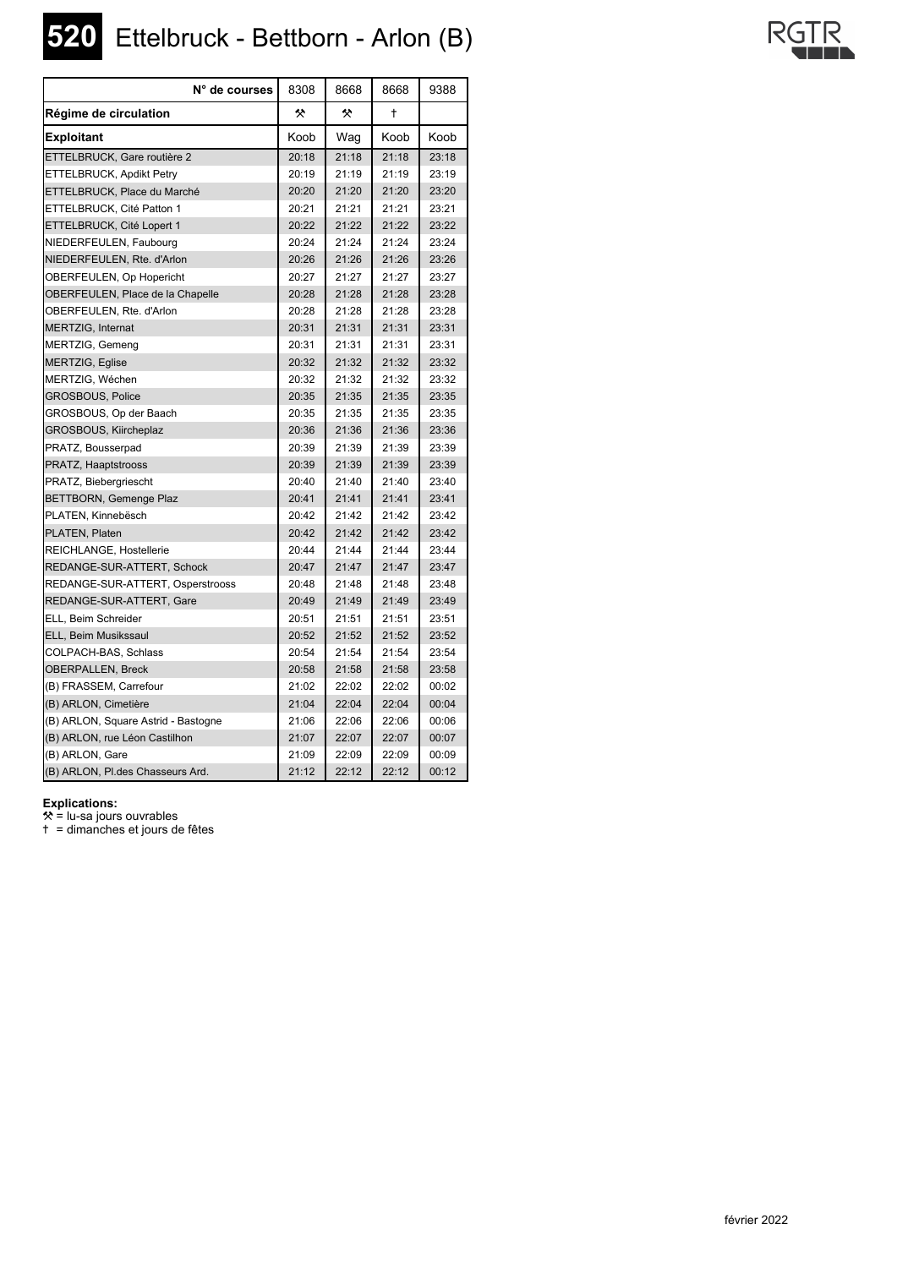**520** Ettelbruck - Bettborn - Arlon (B)

| N° de courses                       | 8308  | 8668  | 8668  | 9388  |
|-------------------------------------|-------|-------|-------|-------|
| Régime de circulation               | ❖     | 父     | t     |       |
| <b>Exploitant</b>                   | Koob  | Wag   | Koob  | Koob  |
| ETTELBRUCK, Gare routière 2         | 20:18 | 21:18 | 21:18 | 23:18 |
| ETTELBRUCK, Apdikt Petry            | 20:19 | 21:19 | 21:19 | 23:19 |
| ETTELBRUCK, Place du Marché         | 20:20 | 21:20 | 21:20 | 23:20 |
| ETTELBRUCK, Cité Patton 1           | 20:21 | 21:21 | 21:21 | 23:21 |
| ETTELBRUCK, Cité Lopert 1           | 20:22 | 21:22 | 21:22 | 23:22 |
| NIEDERFEULEN, Faubourg              | 20:24 | 21:24 | 21:24 | 23:24 |
| NIEDERFEULEN, Rte. d'Arlon          | 20:26 | 21:26 | 21:26 | 23:26 |
| OBERFEULEN, Op Hopericht            | 20:27 | 21:27 | 21:27 | 23:27 |
| OBERFEULEN, Place de la Chapelle    | 20:28 | 21:28 | 21:28 | 23:28 |
| OBERFEULEN, Rte. d'Arlon            | 20:28 | 21:28 | 21:28 | 23:28 |
| MERTZIG, Internat                   | 20:31 | 21:31 | 21:31 | 23:31 |
| MERTZIG, Gemeng                     | 20:31 | 21:31 | 21:31 | 23:31 |
| MERTZIG, Eglise                     | 20:32 | 21:32 | 21:32 | 23:32 |
| MERTZIG, Wéchen                     | 20:32 | 21:32 | 21:32 | 23:32 |
| <b>GROSBOUS, Police</b>             | 20:35 | 21:35 | 21:35 | 23:35 |
| GROSBOUS, Op der Baach              | 20:35 | 21:35 | 21:35 | 23:35 |
| GROSBOUS, Kiircheplaz               | 20:36 | 21:36 | 21:36 | 23:36 |
| PRATZ, Bousserpad                   | 20:39 | 21:39 | 21:39 | 23:39 |
| PRATZ, Haaptstrooss                 | 20:39 | 21:39 | 21:39 | 23:39 |
| PRATZ, Biebergriescht               | 20:40 | 21:40 | 21:40 | 23:40 |
| <b>BETTBORN, Gemenge Plaz</b>       | 20:41 | 21:41 | 21:41 | 23:41 |
| PLATEN, Kinnebësch                  | 20:42 | 21:42 | 21:42 | 23:42 |
| PLATEN, Platen                      | 20:42 | 21:42 | 21:42 | 23:42 |
| REICHLANGE, Hostellerie             | 20:44 | 21:44 | 21:44 | 23:44 |
| REDANGE-SUR-ATTERT, Schock          | 20:47 | 21:47 | 21:47 | 23:47 |
| REDANGE-SUR-ATTERT, Osperstrooss    | 20:48 | 21:48 | 21:48 | 23:48 |
| REDANGE-SUR-ATTERT, Gare            | 20:49 | 21:49 | 21:49 | 23:49 |
| ELL, Beim Schreider                 | 20:51 | 21:51 | 21:51 | 23:51 |
| ELL, Beim Musikssaul                | 20:52 | 21:52 | 21:52 | 23:52 |
| COLPACH-BAS, Schlass                | 20:54 | 21:54 | 21:54 | 23:54 |
| <b>OBERPALLEN, Breck</b>            | 20:58 | 21:58 | 21:58 | 23:58 |
| (B) FRASSEM, Carrefour              | 21:02 | 22:02 | 22:02 | 00:02 |
| (B) ARLON, Cimetière                | 21:04 | 22:04 | 22:04 | 00:04 |
| (B) ARLON, Square Astrid - Bastogne | 21:06 | 22:06 | 22:06 | 00:06 |
| (B) ARLON, rue Léon Castilhon       | 21:07 | 22:07 | 22:07 | 00:07 |
| (B) ARLON, Gare                     | 21:09 | 22:09 | 22:09 | 00:09 |
| (B) ARLON, Pl.des Chasseurs Ard.    | 21:12 | 22:12 | 22:12 | 00:12 |

### **Explications:**

 $*$  = lu-sa jours ouvrables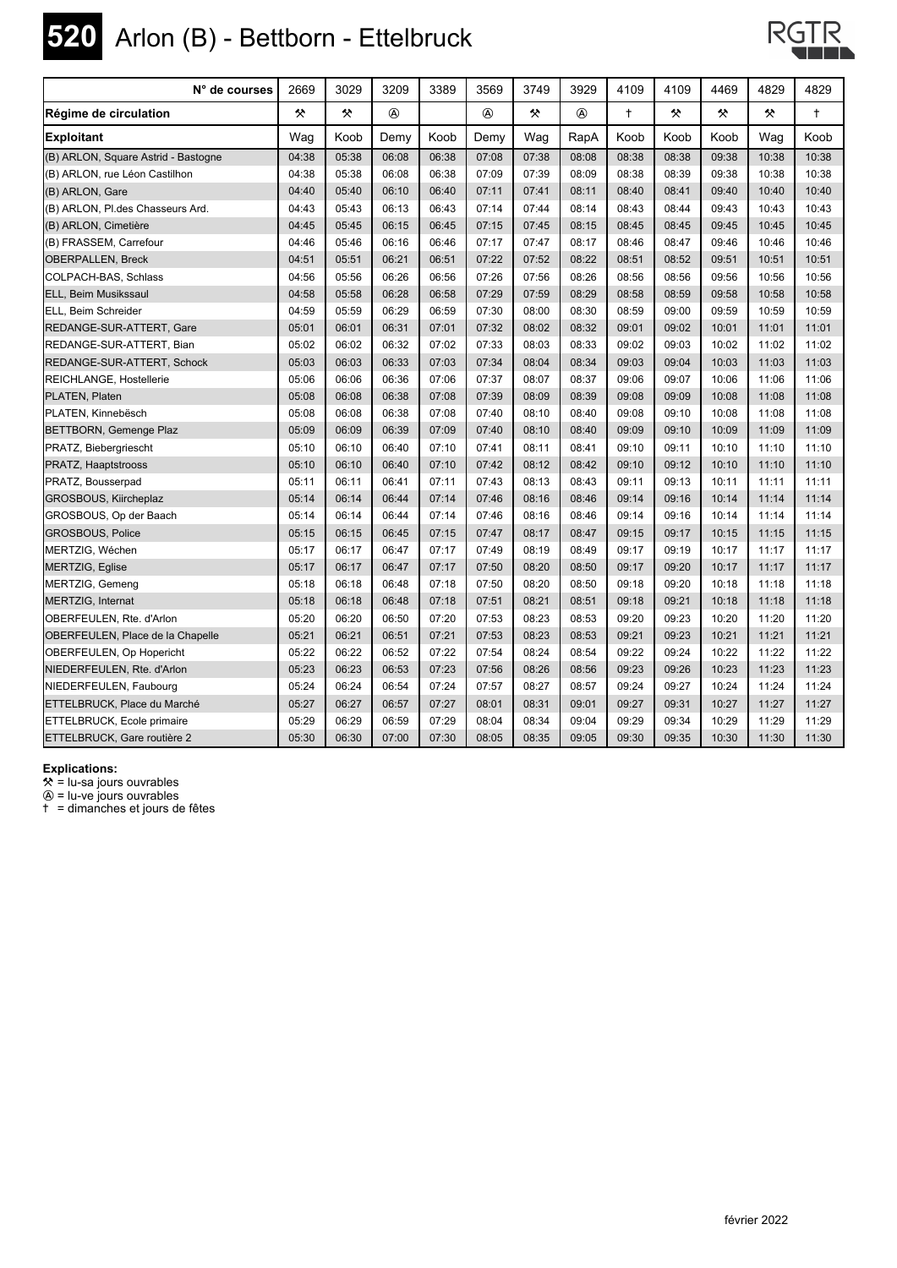

# **520** Arlon (B) - Bettborn - Ettelbruck



| N° de courses                       | 2669  | 3029  | 3209           | 3389  | 3569           | 3749  | 3929           | 4109       | 4109  | 4469  | 4829  | 4829       |
|-------------------------------------|-------|-------|----------------|-------|----------------|-------|----------------|------------|-------|-------|-------|------------|
| Régime de circulation               | 父     | 父     | $^{\circledR}$ |       | $^{\circledR}$ | 父     | $^{\circledR}$ | $\ddagger$ | 父     | 샷     | 父     | $\ddagger$ |
| <b>Exploitant</b>                   | Wag   | Koob  | Demy           | Koob  | Demy           | Wag   | RapA           | Koob       | Koob  | Koob  | Wag   | Koob       |
| (B) ARLON, Square Astrid - Bastogne | 04:38 | 05:38 | 06:08          | 06:38 | 07:08          | 07:38 | 08:08          | 08:38      | 08:38 | 09:38 | 10:38 | 10:38      |
| (B) ARLON, rue Léon Castilhon       | 04:38 | 05:38 | 06:08          | 06:38 | 07:09          | 07:39 | 08:09          | 08:38      | 08:39 | 09:38 | 10:38 | 10:38      |
| (B) ARLON, Gare                     | 04:40 | 05:40 | 06:10          | 06:40 | 07:11          | 07:41 | 08:11          | 08:40      | 08:41 | 09:40 | 10:40 | 10:40      |
| (B) ARLON, Pl.des Chasseurs Ard.    | 04:43 | 05:43 | 06:13          | 06:43 | 07:14          | 07:44 | 08:14          | 08:43      | 08:44 | 09:43 | 10:43 | 10:43      |
| (B) ARLON, Cimetière                | 04:45 | 05:45 | 06:15          | 06:45 | 07:15          | 07:45 | 08:15          | 08:45      | 08:45 | 09:45 | 10:45 | 10:45      |
| (B) FRASSEM, Carrefour              | 04:46 | 05:46 | 06:16          | 06:46 | 07:17          | 07:47 | 08:17          | 08:46      | 08:47 | 09:46 | 10:46 | 10:46      |
| <b>OBERPALLEN, Breck</b>            | 04:51 | 05:51 | 06:21          | 06:51 | 07:22          | 07:52 | 08:22          | 08:51      | 08:52 | 09:51 | 10:51 | 10:51      |
| COLPACH-BAS, Schlass                | 04:56 | 05:56 | 06:26          | 06:56 | 07:26          | 07:56 | 08:26          | 08:56      | 08:56 | 09:56 | 10:56 | 10:56      |
| ELL, Beim Musikssaul                | 04:58 | 05:58 | 06:28          | 06:58 | 07:29          | 07:59 | 08:29          | 08:58      | 08:59 | 09:58 | 10:58 | 10:58      |
| ELL, Beim Schreider                 | 04:59 | 05:59 | 06:29          | 06:59 | 07:30          | 08:00 | 08:30          | 08:59      | 09:00 | 09:59 | 10:59 | 10:59      |
| REDANGE-SUR-ATTERT, Gare            | 05:01 | 06:01 | 06:31          | 07:01 | 07:32          | 08:02 | 08:32          | 09:01      | 09:02 | 10:01 | 11:01 | 11:01      |
| REDANGE-SUR-ATTERT, Bian            | 05:02 | 06:02 | 06:32          | 07:02 | 07:33          | 08:03 | 08:33          | 09:02      | 09:03 | 10:02 | 11:02 | 11:02      |
| REDANGE-SUR-ATTERT, Schock          | 05:03 | 06:03 | 06:33          | 07:03 | 07:34          | 08:04 | 08:34          | 09:03      | 09:04 | 10:03 | 11:03 | 11:03      |
| REICHLANGE, Hostellerie             | 05:06 | 06:06 | 06:36          | 07:06 | 07:37          | 08:07 | 08:37          | 09:06      | 09:07 | 10:06 | 11:06 | 11:06      |
| PLATEN, Platen                      | 05:08 | 06:08 | 06:38          | 07:08 | 07:39          | 08:09 | 08:39          | 09:08      | 09:09 | 10:08 | 11:08 | 11:08      |
| PLATEN, Kinnebësch                  | 05:08 | 06:08 | 06:38          | 07:08 | 07:40          | 08:10 | 08:40          | 09:08      | 09:10 | 10:08 | 11:08 | 11:08      |
| BETTBORN, Gemenge Plaz              | 05:09 | 06:09 | 06:39          | 07:09 | 07:40          | 08:10 | 08:40          | 09:09      | 09:10 | 10:09 | 11:09 | 11:09      |
| PRATZ, Biebergriescht               | 05:10 | 06:10 | 06:40          | 07:10 | 07:41          | 08:11 | 08:41          | 09:10      | 09:11 | 10:10 | 11:10 | 11:10      |
| PRATZ, Haaptstrooss                 | 05:10 | 06:10 | 06:40          | 07:10 | 07:42          | 08:12 | 08:42          | 09:10      | 09:12 | 10:10 | 11:10 | 11:10      |
| PRATZ, Bousserpad                   | 05:11 | 06:11 | 06:41          | 07:11 | 07:43          | 08:13 | 08:43          | 09:11      | 09:13 | 10:11 | 11:11 | 11:11      |
| GROSBOUS, Kiircheplaz               | 05:14 | 06:14 | 06:44          | 07:14 | 07:46          | 08:16 | 08:46          | 09:14      | 09:16 | 10:14 | 11:14 | 11:14      |
| GROSBOUS, Op der Baach              | 05:14 | 06:14 | 06:44          | 07:14 | 07:46          | 08:16 | 08:46          | 09:14      | 09:16 | 10:14 | 11:14 | 11:14      |
| <b>GROSBOUS, Police</b>             | 05:15 | 06:15 | 06:45          | 07:15 | 07:47          | 08:17 | 08:47          | 09:15      | 09:17 | 10:15 | 11:15 | 11:15      |
| MERTZIG, Wéchen                     | 05:17 | 06:17 | 06:47          | 07:17 | 07:49          | 08:19 | 08:49          | 09:17      | 09:19 | 10:17 | 11:17 | 11:17      |
| <b>MERTZIG, Eglise</b>              | 05:17 | 06:17 | 06:47          | 07:17 | 07:50          | 08:20 | 08:50          | 09:17      | 09:20 | 10:17 | 11:17 | 11:17      |
| MERTZIG, Gemeng                     | 05:18 | 06:18 | 06:48          | 07:18 | 07:50          | 08:20 | 08:50          | 09:18      | 09:20 | 10:18 | 11:18 | 11:18      |
| MERTZIG, Internat                   | 05:18 | 06:18 | 06:48          | 07:18 | 07:51          | 08:21 | 08:51          | 09:18      | 09:21 | 10:18 | 11:18 | 11:18      |
| OBERFEULEN, Rte. d'Arlon            | 05:20 | 06:20 | 06:50          | 07:20 | 07:53          | 08:23 | 08:53          | 09:20      | 09:23 | 10:20 | 11:20 | 11:20      |
| OBERFEULEN, Place de la Chapelle    | 05:21 | 06:21 | 06:51          | 07:21 | 07:53          | 08:23 | 08:53          | 09:21      | 09:23 | 10:21 | 11:21 | 11:21      |
| <b>OBERFEULEN, Op Hopericht</b>     | 05:22 | 06:22 | 06:52          | 07:22 | 07:54          | 08:24 | 08:54          | 09:22      | 09:24 | 10:22 | 11:22 | 11:22      |
| NIEDERFEULEN, Rte. d'Arlon          | 05:23 | 06:23 | 06:53          | 07:23 | 07:56          | 08:26 | 08:56          | 09:23      | 09:26 | 10:23 | 11:23 | 11:23      |
| NIEDERFEULEN, Faubourg              | 05:24 | 06:24 | 06:54          | 07:24 | 07:57          | 08:27 | 08:57          | 09:24      | 09:27 | 10:24 | 11:24 | 11:24      |
| ETTELBRUCK, Place du Marché         | 05:27 | 06:27 | 06:57          | 07:27 | 08:01          | 08:31 | 09:01          | 09:27      | 09:31 | 10:27 | 11:27 | 11:27      |
| <b>ETTELBRUCK, Ecole primaire</b>   | 05:29 | 06:29 | 06:59          | 07:29 | 08:04          | 08:34 | 09:04          | 09:29      | 09:34 | 10:29 | 11:29 | 11:29      |
| ETTELBRUCK, Gare routière 2         | 05:30 | 06:30 | 07:00          | 07:30 | 08:05          | 08:35 | 09:05          | 09:30      | 09:35 | 10:30 | 11:30 | 11:30      |

**Explications:**

 $\mathbf{\hat{x}}$  = lu-sa jours ouvrables

 $\textcircled{a}$  = lu-ve jours ouvrables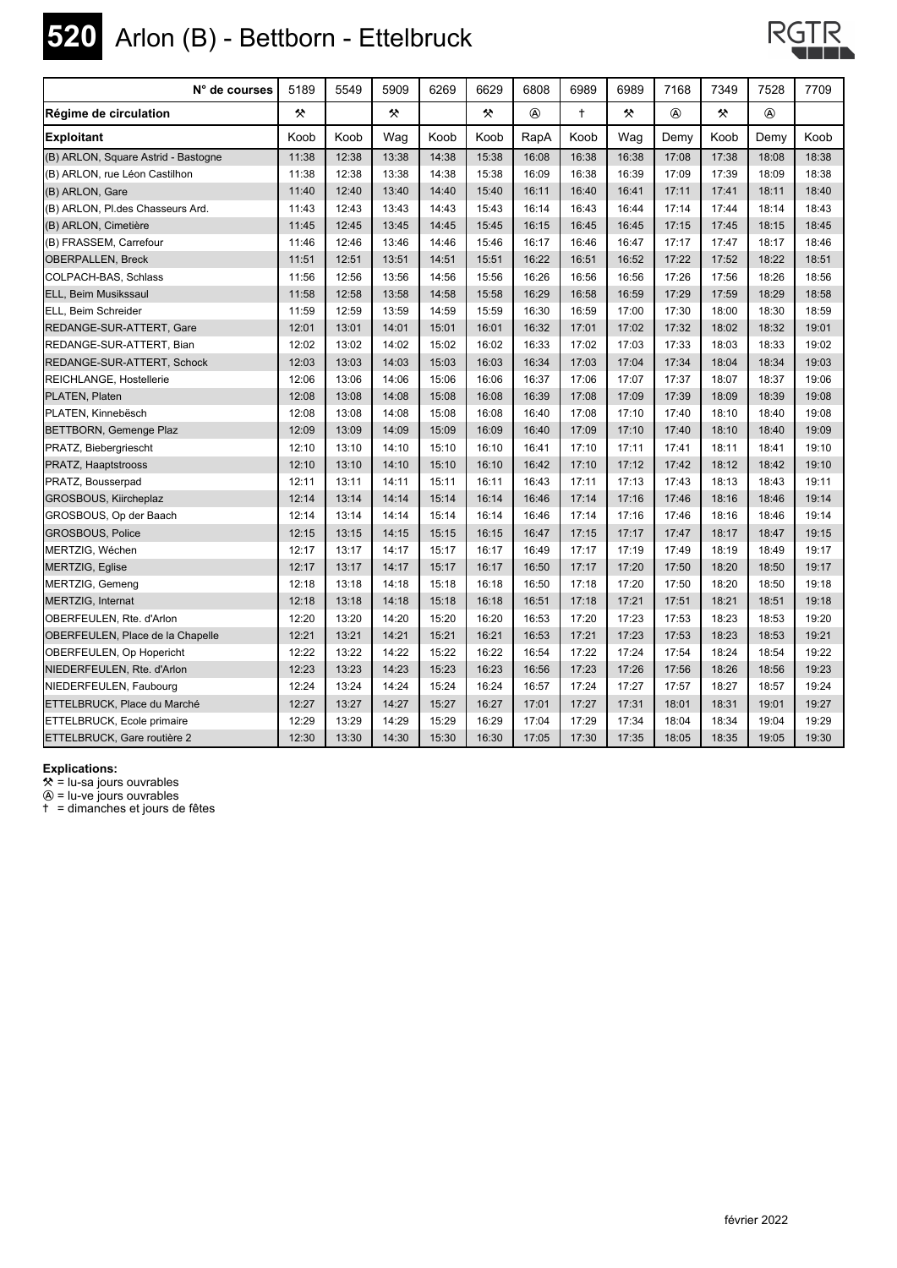

# **520** Arlon (B) - Bettborn - Ettelbruck



| N° de courses                       | 5189  | 5549  | 5909  | 6269  | 6629  | 6808         | 6989       | 6989  | 7168        | 7349  | 7528           | 7709  |
|-------------------------------------|-------|-------|-------|-------|-------|--------------|------------|-------|-------------|-------|----------------|-------|
| Régime de circulation               | 父     |       | 父     |       | 父     | $^\circledR$ | $\ddagger$ | 父     | $\circledA$ | 父     | $^{\circledR}$ |       |
| <b>Exploitant</b>                   | Koob  | Koob  | Waq   | Koob  | Koob  | RapA         | Koob       | Waq   | Demy        | Koob  | Demy           | Koob  |
| (B) ARLON, Square Astrid - Bastogne | 11:38 | 12:38 | 13:38 | 14:38 | 15:38 | 16:08        | 16:38      | 16:38 | 17:08       | 17:38 | 18:08          | 18:38 |
| (B) ARLON, rue Léon Castilhon       | 11:38 | 12:38 | 13:38 | 14:38 | 15:38 | 16:09        | 16:38      | 16:39 | 17:09       | 17:39 | 18:09          | 18:38 |
| (B) ARLON, Gare                     | 11:40 | 12:40 | 13:40 | 14:40 | 15:40 | 16:11        | 16:40      | 16:41 | 17:11       | 17:41 | 18:11          | 18:40 |
| (B) ARLON, Pl.des Chasseurs Ard.    | 11:43 | 12:43 | 13:43 | 14:43 | 15:43 | 16:14        | 16:43      | 16:44 | 17:14       | 17:44 | 18:14          | 18:43 |
| (B) ARLON, Cimetière                | 11:45 | 12:45 | 13:45 | 14:45 | 15:45 | 16:15        | 16:45      | 16:45 | 17:15       | 17:45 | 18:15          | 18:45 |
| (B) FRASSEM, Carrefour              | 11:46 | 12:46 | 13:46 | 14:46 | 15:46 | 16:17        | 16:46      | 16:47 | 17:17       | 17:47 | 18:17          | 18:46 |
| <b>OBERPALLEN, Breck</b>            | 11:51 | 12:51 | 13:51 | 14:51 | 15:51 | 16:22        | 16:51      | 16:52 | 17:22       | 17:52 | 18:22          | 18:51 |
| COLPACH-BAS, Schlass                | 11:56 | 12:56 | 13:56 | 14:56 | 15:56 | 16:26        | 16:56      | 16:56 | 17:26       | 17:56 | 18:26          | 18:56 |
| ELL, Beim Musikssaul                | 11:58 | 12:58 | 13:58 | 14:58 | 15:58 | 16:29        | 16:58      | 16:59 | 17:29       | 17:59 | 18:29          | 18:58 |
| ELL, Beim Schreider                 | 11:59 | 12:59 | 13:59 | 14:59 | 15:59 | 16:30        | 16:59      | 17:00 | 17:30       | 18:00 | 18:30          | 18:59 |
| REDANGE-SUR-ATTERT, Gare            | 12:01 | 13:01 | 14:01 | 15:01 | 16:01 | 16:32        | 17:01      | 17:02 | 17:32       | 18:02 | 18:32          | 19:01 |
| REDANGE-SUR-ATTERT, Bian            | 12:02 | 13:02 | 14:02 | 15:02 | 16:02 | 16:33        | 17:02      | 17:03 | 17:33       | 18:03 | 18:33          | 19:02 |
| REDANGE-SUR-ATTERT, Schock          | 12:03 | 13:03 | 14:03 | 15:03 | 16:03 | 16:34        | 17:03      | 17:04 | 17:34       | 18:04 | 18:34          | 19:03 |
| REICHLANGE, Hostellerie             | 12:06 | 13:06 | 14:06 | 15:06 | 16:06 | 16:37        | 17:06      | 17:07 | 17:37       | 18:07 | 18:37          | 19:06 |
| PLATEN, Platen                      | 12:08 | 13:08 | 14:08 | 15:08 | 16:08 | 16:39        | 17:08      | 17:09 | 17:39       | 18:09 | 18:39          | 19:08 |
| PLATEN. Kinnebësch                  | 12:08 | 13:08 | 14:08 | 15:08 | 16:08 | 16:40        | 17:08      | 17:10 | 17:40       | 18:10 | 18:40          | 19:08 |
| <b>BETTBORN, Gemenge Plaz</b>       | 12:09 | 13:09 | 14:09 | 15:09 | 16:09 | 16:40        | 17:09      | 17:10 | 17:40       | 18:10 | 18:40          | 19:09 |
| PRATZ, Biebergriescht               | 12:10 | 13:10 | 14:10 | 15:10 | 16:10 | 16:41        | 17:10      | 17:11 | 17:41       | 18:11 | 18:41          | 19:10 |
| PRATZ, Haaptstrooss                 | 12:10 | 13:10 | 14:10 | 15:10 | 16:10 | 16:42        | 17:10      | 17:12 | 17:42       | 18:12 | 18:42          | 19:10 |
| PRATZ, Bousserpad                   | 12:11 | 13:11 | 14:11 | 15:11 | 16:11 | 16:43        | 17:11      | 17:13 | 17:43       | 18:13 | 18:43          | 19:11 |
| GROSBOUS, Kiircheplaz               | 12:14 | 13:14 | 14:14 | 15:14 | 16:14 | 16:46        | 17:14      | 17:16 | 17:46       | 18:16 | 18:46          | 19:14 |
| GROSBOUS, Op der Baach              | 12:14 | 13:14 | 14:14 | 15:14 | 16:14 | 16:46        | 17:14      | 17:16 | 17:46       | 18:16 | 18:46          | 19:14 |
| <b>GROSBOUS, Police</b>             | 12:15 | 13:15 | 14:15 | 15:15 | 16:15 | 16:47        | 17:15      | 17:17 | 17:47       | 18:17 | 18:47          | 19:15 |
| MERTZIG, Wéchen                     | 12:17 | 13:17 | 14:17 | 15:17 | 16:17 | 16:49        | 17:17      | 17:19 | 17:49       | 18:19 | 18:49          | 19:17 |
| MERTZIG, Eglise                     | 12:17 | 13:17 | 14:17 | 15:17 | 16:17 | 16:50        | 17:17      | 17:20 | 17:50       | 18:20 | 18:50          | 19:17 |
| MERTZIG, Gemeng                     | 12:18 | 13:18 | 14:18 | 15:18 | 16:18 | 16:50        | 17:18      | 17:20 | 17:50       | 18:20 | 18:50          | 19:18 |
| MERTZIG, Internat                   | 12:18 | 13:18 | 14:18 | 15:18 | 16:18 | 16:51        | 17:18      | 17:21 | 17:51       | 18:21 | 18:51          | 19:18 |
| OBERFEULEN, Rte. d'Arlon            | 12:20 | 13:20 | 14:20 | 15:20 | 16:20 | 16:53        | 17:20      | 17:23 | 17:53       | 18:23 | 18:53          | 19:20 |
| OBERFEULEN, Place de la Chapelle    | 12:21 | 13:21 | 14:21 | 15:21 | 16:21 | 16:53        | 17:21      | 17:23 | 17:53       | 18:23 | 18:53          | 19:21 |
| <b>OBERFEULEN, Op Hopericht</b>     | 12:22 | 13:22 | 14:22 | 15:22 | 16:22 | 16:54        | 17:22      | 17:24 | 17:54       | 18:24 | 18:54          | 19:22 |
| NIEDERFEULEN, Rte. d'Arlon          | 12:23 | 13:23 | 14:23 | 15:23 | 16:23 | 16:56        | 17:23      | 17:26 | 17:56       | 18:26 | 18:56          | 19:23 |
| NIEDERFEULEN, Faubourg              | 12:24 | 13:24 | 14:24 | 15:24 | 16:24 | 16:57        | 17:24      | 17:27 | 17:57       | 18:27 | 18:57          | 19:24 |
| ETTELBRUCK, Place du Marché         | 12:27 | 13:27 | 14:27 | 15:27 | 16:27 | 17:01        | 17:27      | 17:31 | 18:01       | 18:31 | 19:01          | 19:27 |
| ETTELBRUCK, Ecole primaire          | 12:29 | 13:29 | 14:29 | 15:29 | 16:29 | 17:04        | 17:29      | 17:34 | 18:04       | 18:34 | 19:04          | 19:29 |
| ETTELBRUCK, Gare routière 2         | 12:30 | 13:30 | 14:30 | 15:30 | 16:30 | 17:05        | 17:30      | 17:35 | 18:05       | 18:35 | 19:05          | 19:30 |

**Explications:**

 $\mathbf{\hat{x}}$  = lu-sa jours ouvrables

 $\textcircled{a}$  = lu-ve jours ouvrables